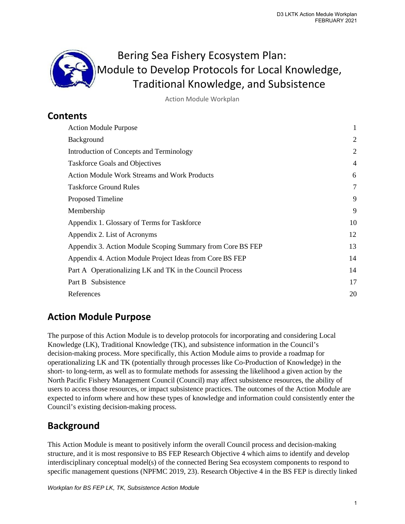

Action Module Workplan

# **Contents**

| <b>Action Module Purpose</b>                               |    |
|------------------------------------------------------------|----|
| Background                                                 | 2  |
| Introduction of Concepts and Terminology                   | 2  |
| <b>Taskforce Goals and Objectives</b>                      | 4  |
| <b>Action Module Work Streams and Work Products</b>        | 6  |
| <b>Taskforce Ground Rules</b>                              | 7  |
| Proposed Timeline                                          | 9  |
| Membership                                                 | 9  |
| Appendix 1. Glossary of Terms for Taskforce                | 10 |
| Appendix 2. List of Acronyms                               | 12 |
| Appendix 3. Action Module Scoping Summary from Core BS FEP | 13 |
| Appendix 4. Action Module Project Ideas from Core BS FEP   | 14 |
| Part A Operationalizing LK and TK in the Council Process   | 14 |
| Part B Subsistence                                         | 17 |
| References                                                 |    |

# <span id="page-0-0"></span>**Action Module Purpose**

The purpose of this Action Module is to develop protocols for incorporating and considering Local Knowledge (LK), Traditional Knowledge (TK), and subsistence information in the Council's decision-making process. More specifically, this Action Module aims to provide a roadmap for operationalizing LK and TK (potentially through processes like Co-Production of Knowledge) in the short- to long-term, as well as to formulate methods for assessing the likelihood a given action by the North Pacific Fishery Management Council (Council) may affect subsistence resources, the ability of users to access those resources, or impact subsistence practices. The outcomes of the Action Module are expected to inform where and how these types of knowledge and information could consistently enter the Council's existing decision-making process.

# <span id="page-0-1"></span>**Background**

This Action Module is meant to positively inform the overall Council process and decision-making structure, and it is most responsive to BS FEP Research Objective 4 which aims to identify and develop interdisciplinary conceptual model(s) of the connected Bering Sea ecosystem components to respond to specific management questions (NPFMC 2019, 23). Research Objective 4 in the BS FEP is directly linked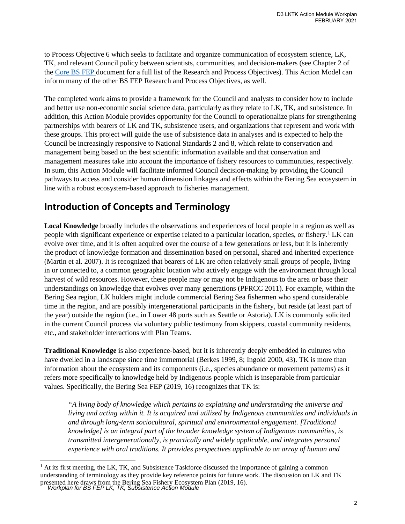to Process Objective 6 which seeks to facilitate and organize communication of ecosystem science, LK, TK, and relevant Council policy between scientists, communities, and decision-makers (see Chapter 2 of the [Core BS FEP d](http://meetings.npfmc.org/CommentReview/DownloadFile?p=9fd5d027-86a8-4983-a7e7-f456acc478bf.pdf&fileName=C4%20BS%20FEP.pdf)ocument for a full list of the Research and Process Objectives). This Action Model can inform many of the other BS FEP Research and Process Objectives, as well.

The completed work aims to provide a framework for the Council and analysts to consider how to include and better use non-economic social science data, particularly as they relate to LK, TK, and subsistence. In addition, this Action Module provides opportunity for the Council to operationalize plans for strengthening partnerships with bearers of LK and TK, subsistence users, and organizations that represent and work with these groups. This project will guide the use of subsistence data in analyses and is expected to help the Council be increasingly responsive to National Standards 2 and 8, which relate to conservation and management being based on the best scientific information available and that conservation and management measures take into account the importance of fishery resources to communities, respectively. In sum, this Action Module will facilitate informed Council decision-making by providing the Council pathways to access and consider human dimension linkages and effects within the Bering Sea ecosystem in line with a robust ecosystem-based approach to fisheries management.

# <span id="page-1-0"></span>**Introduction of Concepts and Terminology**

**Local Knowledge** broadly includes the observations and experiences of local people in a region as well as people with significant experience or expertise related to a particular location, species, or fishery.[1](#page-1-1) LK can evolve over time, and it is often acquired over the course of a few generations or less, but it is inherently the product of knowledge formation and dissemination based on personal, shared and inherited experience (Martin et al. 2007). It is recognized that bearers of LK are often relatively small groups of people, living in or connected to, a common geographic location who actively engage with the environment through local harvest of wild resources. However, these people may or may not be Indigenous to the area or base their understandings on knowledge that evolves over many generations (PFRCC 2011). For example, within the Bering Sea region, LK holders might include commercial Bering Sea fishermen who spend considerable time in the region, and are possibly intergenerational participants in the fishery, but reside (at least part of the year) outside the region (i.e., in Lower 48 ports such as Seattle or Astoria). LK is commonly solicited in the current Council process via voluntary public testimony from skippers, coastal community residents, etc., and stakeholder interactions with Plan Teams.

**Traditional Knowledge** is also experience-based, but it is inherently deeply embedded in cultures who have dwelled in a landscape since time immemorial (Berkes 1999, 8; Ingold 2000, 43). TK is more than information about the ecosystem and its components (i.e., species abundance or movement patterns) as it refers more specifically to knowledge held by Indigenous people which is inseparable from particular values. Specifically, the Bering Sea FEP (2019, 16) recognizes that TK is:

*"A living body of knowledge which pertains to explaining and understanding the universe and living and acting within it. It is acquired and utilized by Indigenous communities and individuals in and through long-term sociocultural, spiritual and environmental engagement. [Traditional knowledge] is an integral part of the broader knowledge system of Indigenous communities, is transmitted intergenerationally, is practically and widely applicable, and integrates personal experience with oral traditions. It provides perspectives applicable to an array of human and* 

<span id="page-1-1"></span>*Workplan for BS FEP LK, TK, Subsistence Action Module* presented here draws from the Bering Sea Fishery Ecosystem Plan (2019, 16).  $1$  At its first meeting, the LK, TK, and Subsistence Taskforce discussed the importance of gaining a common understanding of terminology as they provide key reference points for future work. The discussion on LK and TK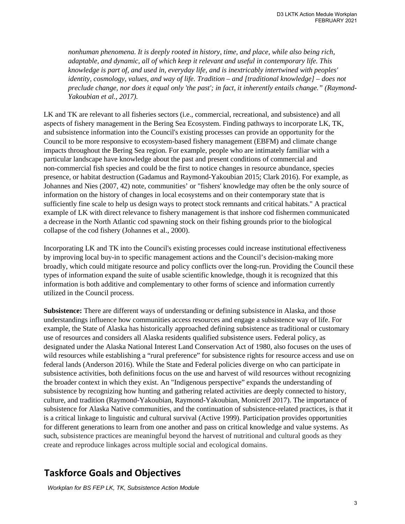*nonhuman phenomena. It is deeply rooted in history, time, and place, while also being rich, adaptable, and dynamic, all of which keep it relevant and useful in contemporary life. This knowledge is part of, and used in, everyday life, and is inextricably intertwined with peoples' identity, cosmology, values, and way of life. Tradition – and [traditional knowledge] – does not preclude change, nor does it equal only 'the past'; in fact, it inherently entails change." (Raymond-Yakoubian et al., 2017).* 

LK and TK are relevant to all fisheries sectors (i.e., commercial, recreational, and subsistence) and all aspects of fishery management in the Bering Sea Ecosystem. Finding pathways to incorporate LK, TK, and subsistence information into the Council's existing processes can provide an opportunity for the Council to be more responsive to ecosystem-based fishery management (EBFM) and climate change impacts throughout the Bering Sea region. For example, people who are intimately familiar with a particular landscape have knowledge about the past and present conditions of commercial and non-commercial fish species and could be the first to notice changes in resource abundance, species presence, or habitat destruction (Gadamus and Raymond-Yakoubian 2015; Clark 2016). For example, as Johannes and Nies (2007, 42) note, communities' or "fishers' knowledge may often be the only source of information on the history of changes in local ecosystems and on their contemporary state that is sufficiently fine scale to help us design ways to protect stock remnants and critical habitats." A practical example of LK with direct relevance to fishery management is that inshore cod fishermen communicated a decrease in the North Atlantic cod spawning stock on their fishing grounds prior to the biological collapse of the cod fishery (Johannes et al., 2000).

Incorporating LK and TK into the Council's existing processes could increase institutional effectiveness by improving local buy-in to specific management actions and the Council's decision-making more broadly, which could mitigate resource and policy conflicts over the long-run. Providing the Council these types of information expand the suite of usable scientific knowledge, though it is recognized that this information is both additive and complementary to other forms of science and information currently utilized in the Council process.

**Subsistence:** There are different ways of understanding or defining subsistence in Alaska, and those understandings influence how communities access resources and engage a subsistence way of life. For example, the State of Alaska has historically approached defining subsistence as traditional or customary use of resources and considers all Alaska residents qualified subsistence users. Federal policy, as designated under the Alaska National Interest Land Conservation Act of 1980, also focuses on the uses of wild resources while establishing a "rural preference" for subsistence rights for resource access and use on federal lands (Anderson 2016). While the State and Federal policies diverge on who can participate in subsistence activities, both definitions focus on the use and harvest of wild resources without recognizing the broader context in which they exist. An "Indigenous perspective" expands the understanding of subsistence by recognizing how hunting and gathering related activities are deeply connected to history, culture, and tradition (Raymond-Yakoubian, Raymond-Yakoubian, Monicreff 2017). The importance of subsistence for Alaska Native communities, and the continuation of subsistence-related practices, is that it is a critical linkage to linguistic and cultural survival (Active 1999). Participation provides opportunities for different generations to learn from one another and pass on critical knowledge and value systems. As such, subsistence practices are meaningful beyond the harvest of nutritional and cultural goods as they create and reproduce linkages across multiple social and ecological domains.

# <span id="page-2-0"></span>**Taskforce Goals and Objectives**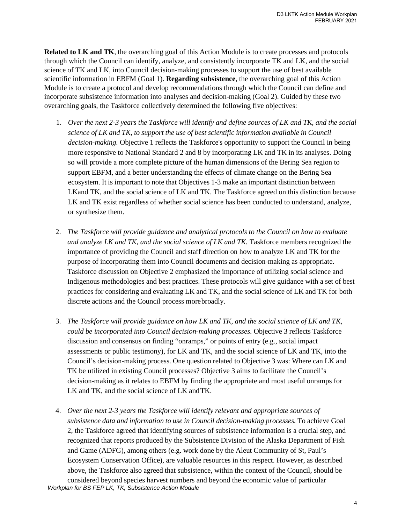**Related to LK and TK**, the overarching goal of this Action Module is to create processes and protocols through which the Council can identify, analyze, and consistently incorporate TK and LK, and the social science of TK and LK, into Council decision-making processes to support the use of best available scientific information in EBFM (Goal 1). **Regarding subsistence**, the overarching goal of this Action Module is to create a protocol and develop recommendations through which the Council can define and incorporate subsistence information into analyses and decision-making (Goal 2). Guided by these two overarching goals, the Taskforce collectively determined the following five objectives:

- 1. *Over the next 2-3 years the Taskforce will identify and define sources of LK and TK, and the social science of LK and TK, to support the use of best scientific information available in Council decision-making.* Objective 1 reflects the Taskforce's opportunity to support the Council in being more responsive to National Standard 2 and 8 by incorporating LK and TK in its analyses. Doing so will provide a more complete picture of the human dimensions of the Bering Sea region to support EBFM, and a better understanding the effects of climate change on the Bering Sea ecosystem. It is important to note that Objectives 1-3 make an important distinction between LKand TK, and the social science of LK and TK. The Taskforce agreed on this distinction because LK and TK exist regardless of whether social science has been conducted to understand, analyze, or synthesize them.
- 2. *The Taskforce will provide guidance and analytical protocols to the Council on how to evaluate and analyze LK and TK, and the social science of LK and TK.* Taskforce members recognized the importance of providing the Council and staff direction on how to analyze LK and TK for the purpose of incorporating them into Council documents and decision-making as appropriate. Taskforce discussion on Objective 2 emphasized the importance of utilizing social science and Indigenous methodologies and best practices. These protocols will give guidance with a set of best practices for considering and evaluating LK and TK, and the social science of LK and TK for both discrete actions and the Council process morebroadly.
- 3. *The Taskforce will provide guidance on how LK and TK, and the social science of LK and TK, could be incorporated into Council decision-making processes.* Objective 3 reflects Taskforce discussion and consensus on finding "onramps," or points of entry (e.g., social impact assessments or public testimony), for LK and TK, and the social science of LK and TK, into the Council's decision-making process. One question related to Objective 3 was: Where can LK and TK be utilized in existing Council processes? Objective 3 aims to facilitate the Council's decision-making as it relates to EBFM by finding the appropriate and most useful onramps for LK and TK, and the social science of LK and TK.
- *Workplan for BS FEP LK, TK, Subsistence Action Module* 4. *Over the next 2-3 years the Taskforce will identify relevant and appropriate sources of subsistence data and information to use in Council decision-making processes.* To achieve Goal 2, the Taskforce agreed that identifying sources of subsistence information is a crucial step, and recognized that reports produced by the Subsistence Division of the Alaska Department of Fish and Game (ADFG), among others (e.g. work done by the Aleut Community of St, Paul's Ecosystem Conservation Office), are valuable resources in this respect. However, as described above, the Taskforce also agreed that subsistence, within the context of the Council, should be considered beyond species harvest numbers and beyond the economic value of particular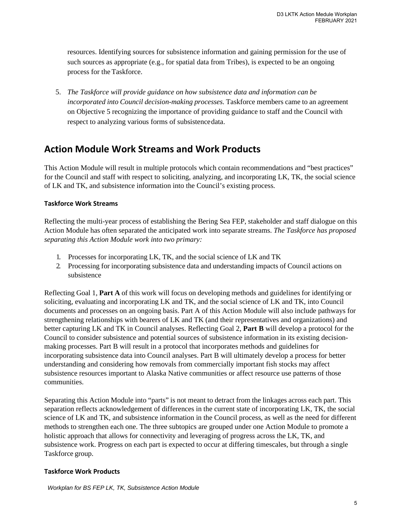resources. Identifying sources for subsistence information and gaining permission for the use of such sources as appropriate (e.g., for spatial data from Tribes), is expected to be an ongoing process for the Taskforce.

5. *The Taskforce will provide guidance on how subsistence data and information can be incorporated into Council decision-making processes.* Taskforce members came to an agreement on Objective 5 recognizing the importance of providing guidance to staff and the Council with respect to analyzing various forms of subsistence data.

# <span id="page-4-0"></span>**Action Module Work Streams and Work Products**

This Action Module will result in multiple protocols which contain recommendations and "best practices" for the Council and staff with respect to soliciting, analyzing, and incorporating LK, TK, the social science of LK and TK, and subsistence information into the Council's existing process.

#### **Taskforce Work Streams**

Reflecting the multi-year process of establishing the Bering Sea FEP, stakeholder and staff dialogue on this Action Module has often separated the anticipated work into separate streams. *The Taskforce has proposed separating this Action Module work into two primary:* 

- 1. Processes for incorporating LK, TK, and the social science of LK and TK
- 2. Processing for incorporating subsistence data and understanding impacts of Council actions on subsistence

Reflecting Goal 1, **Part A** of this work will focus on developing methods and guidelines for identifying or soliciting, evaluating and incorporating LK and TK, and the social science of LK and TK, into Council documents and processes on an ongoing basis. Part A of this Action Module will also include pathways for strengthening relationships with bearers of LK and TK (and their representatives and organizations) and better capturing LK and TK in Council analyses. Reflecting Goal 2, **Part B** will develop a protocol for the Council to consider subsistence and potential sources of subsistence information in its existing decisionmaking processes. Part B will result in a protocol that incorporates methods and guidelines for incorporating subsistence data into Council analyses. Part B will ultimately develop a process for better understanding and considering how removals from commercially important fish stocks may affect subsistence resources important to Alaska Native communities or affect resource use patterns of those communities.

Separating this Action Module into "parts" is not meant to detract from the linkages across each part. This separation reflects acknowledgement of differences in the current state of incorporating LK, TK, the social science of LK and TK, and subsistence information in the Council process, as well as the need for different methods to strengthen each one. The three subtopics are grouped under one Action Module to promote a holistic approach that allows for connectivity and leveraging of progress across the LK, TK, and subsistence work. Progress on each part is expected to occur at differing timescales, but through a single Taskforce group.

#### **Taskforce Work Products**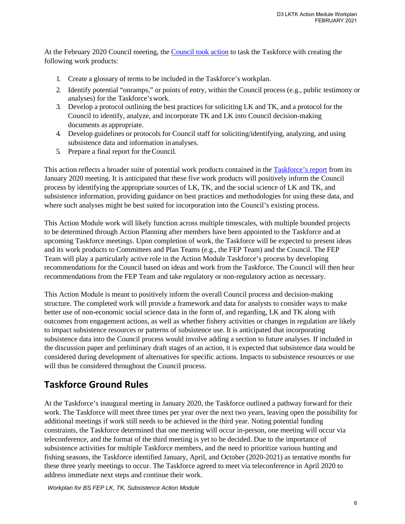At the February 2020 Council meeting, the [Council took action](https://meetings.npfmc.org/CommentReview/DownloadFile?p=ce213a15-6672-4d0b-9fad-6b0719388804.pdf&file%20Name=D3%20MOTION%20.pdf) to task the Taskforce with creating the following work products:

- 1. Create a glossary of terms to be included in the Taskforce's workplan.
- 2. Identify potential "onramps," or points of entry, within the Council process (e.g., public testimony or analyses) for the Taskforce's work.
- 3. Develop a protocol outlining the best practices for soliciting LK and TK, and a protocol for the Council to identify, analyze, and incorporate TK and LK into Council decision-making documents as appropriate.
- 4. Develop guidelines or protocols for Council staff for soliciting/identifying, analyzing, and using subsistence data and information in analyses.
- 5. Prepare a final report for the Council.

This action reflects a broader suite of potential work products contained in th[e Taskforce's report](https://meetings.npfmc.org/CommentReview/DownloadFile?p=be755528-f73c-4b89-a6c3-e8fffb65d77c.pdf&fileNa%20me=D3%20Report%20of%20LK%20TK%20and%20Subsistence%20Taskforce.pdf.) from its January 2020 meeting. It is anticipated that these five work products will positively inform the Council process by identifying the appropriate sources of LK, TK, and the social science of LK and TK, and subsistence information, providing guidance on best practices and methodologies for using these data, and where such analyses might be best suited for incorporation into the Council's existing process.

This Action Module work will likely function across multiple timescales, with multiple bounded projects to be determined through Action Planning after members have been appointed to the Taskforce and at upcoming Taskforce meetings. Upon completion of work, the Taskforce will be expected to present ideas and its work products to Committees and Plan Teams (e.g., the FEP Team) and the Council. The FEP Team will play a particularly active role in the Action Module Taskforce's process by developing recommendations for the Council based on ideas and work from the Taskforce. The Council will then hear recommendations from the FEP Team and take regulatory or non-regulatory action as necessary.

This Action Module is meant to positively inform the overall Council process and decision-making structure. The completed work will provide a framework and data for analysts to consider ways to make better use of non-economic social science data in the form of, and regarding, LK and TK along with outcomes from engagement actions, as well as whether fishery activities or changes in regulation are likely to impact subsistence resources or patterns of subsistence use. It is anticipated that incorporating subsistence data into the Council process would involve adding a section to future analyses. If included in the discussion paper and preliminary draft stages of an action, it is expected that subsistence data would be considered during development of alternatives for specific actions. Impacts to subsistence resources or use will thus be considered throughout the Council process.

# <span id="page-5-0"></span>**Taskforce Ground Rules**

At the Taskforce's inaugural meeting in January 2020, the Taskforce outlined a pathway forward for their work. The Taskforce will meet three times per year over the next two years, leaving open the possibility for additional meetings if work still needs to be achieved in the third year. Noting potential funding constraints, the Taskforce determined that one meeting will occur in-person, one meeting will occur via teleconference, and the format of the third meeting is yet to be decided. Due to the importance of subsistence activities for multiple Taskforce members, and the need to prioritize various hunting and fishing seasons, the Taskforce identified January, April, and October (2020-2021) as tentative months for these three yearly meetings to occur. The Taskforce agreed to meet via teleconference in April 2020 to address immediate next steps and continue their work.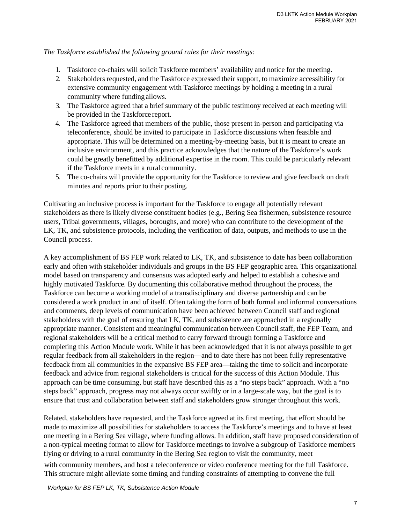*The Taskforce established the following ground rules for their meetings:* 

- 1. Taskforce co-chairs will solicit Taskforce members' availability and notice for the meeting.
- 2. Stakeholders requested, and the Taskforce expressed their support, to maximize accessibility for extensive community engagement with Taskforce meetings by holding a meeting in a rural community where funding allows.
- 3. The Taskforce agreed that a brief summary of the public testimony received at each meeting will be provided in the Taskforce report.
- 4. The Taskforce agreed that members of the public, those present in-person and participating via teleconference, should be invited to participate in Taskforce discussions when feasible and appropriate. This will be determined on a meeting-by-meeting basis, but it is meant to create an inclusive environment, and this practice acknowledges that the nature of the Taskforce's work could be greatly benefitted by additional expertise in the room. This could be particularly relevant if the Taskforce meets in a rural community.
- 5. The co-chairs will provide the opportunity for the Taskforce to review and give feedback on draft minutes and reports prior to their posting.

Cultivating an inclusive process is important for the Taskforce to engage all potentially relevant stakeholders as there is likely diverse constituent bodies (e.g., Bering Sea fishermen, subsistence resource users, Tribal governments, villages, boroughs, and more) who can contribute to the development of the LK, TK, and subsistence protocols, including the verification of data, outputs, and methods to use in the Council process.

A key accomplishment of BS FEP work related to LK, TK, and subsistence to date has been collaboration early and often with stakeholder individuals and groups in the BS FEP geographic area. This organizational model based on transparency and consensus was adopted early and helped to establish a cohesive and highly motivated Taskforce. By documenting this collaborative method throughout the process, the Taskforce can become a working model of a transdisciplinary and diverse partnership and can be considered a work product in and of itself. Often taking the form of both formal and informal conversations and comments, deep levels of communication have been achieved between Council staff and regional stakeholders with the goal of ensuring that LK, TK, and subsistence are approached in a regionally appropriate manner. Consistent and meaningful communication between Council staff, the FEP Team, and regional stakeholders will be a critical method to carry forward through forming a Taskforce and completing this Action Module work. While it has been acknowledged that it is not always possible to get regular feedback from all stakeholders in the region—and to date there has not been fully representative feedback from all communities in the expansive BS FEP area—taking the time to solicit and incorporate feedback and advice from regional stakeholders is critical for the success of this Action Module. This approach can be time consuming, but staff have described this as a "no steps back" approach. With a "no steps back" approach, progress may not always occur swiftly or in a large-scale way, but the goal is to ensure that trust and collaboration between staff and stakeholders grow stronger throughout this work.

Related, stakeholders have requested, and the Taskforce agreed at its first meeting, that effort should be made to maximize all possibilities for stakeholders to access the Taskforce's meetings and to have at least one meeting in a Bering Sea village, where funding allows. In addition, staff have proposed consideration of a non-typical meeting format to allow for Taskforce meetings to involve a subgroup of Taskforce members flying or driving to a rural community in the Bering Sea region to visit the community, meet

with community members, and host a teleconference or video conference meeting for the full Taskforce. This structure might alleviate some timing and funding constraints of attempting to convene the full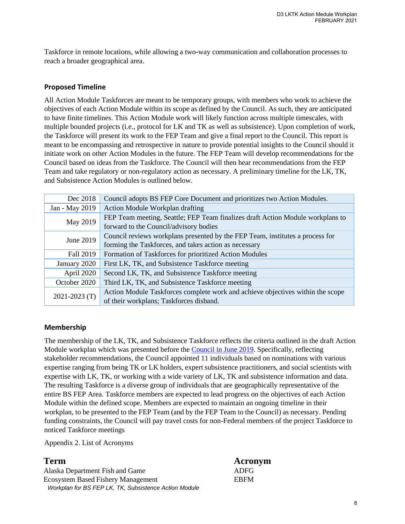Taskforce in remote locations, while allowing a two-way communication and collaboration processes to reach a broader geographical area.

#### <span id="page-7-0"></span>**Proposed Timeline**

All Action Module Taskforces are meant to be temporary groups, with members who work to achieve the objectives of each Action Module within its scope as defined by the Council. As such, they are anticipated to have finite timelines. This Action Module work will likely function across multiple timescales, with multiple bounded projects (i.e., protocol for LK and TK as well as subsistence). Upon completion of work, the Taskforce will present its work to the FEP Team and give a final report to the Council. This report is meant to be encompassing and retrospective in nature to provide potential insights to the Council should it initiate work on other Action Modules in the future. The FEP Team will develop recommendations for the Council based on ideas from the Taskforce. The Council will then hear recommendations from the FEP Team and take regulatory or non-regulatory action as necessary. A preliminary timeline for the LK, TK, and Subsistence Action Modules is outlined below.

| Dec 2018          | Council adopts BS FEP Core Document and prioritizes two Action Modules.        |
|-------------------|--------------------------------------------------------------------------------|
| Jan - May 2019    | Action Module Workplan drafting                                                |
| May 2019          | FEP Team meeting, Seattle; FEP Team finalizes draft Action Module workplans to |
|                   | forward to the Council/advisory bodies                                         |
| June 2019         | Council reviews workplans presented by the FEP Team, institutes a process for  |
|                   | forming the Taskforces, and takes action as necessary                          |
| Fall 2019         | Formation of Taskforces for prioritized Action Modules                         |
| January 2020      | First LK, TK, and Subsistence Taskforce meeting                                |
| April 2020        | Second LK, TK, and Subsistence Taskforce meeting                               |
| October 2020      | Third LK, TK, and Subsistence Taskforce meeting                                |
| $2021 - 2023$ (T) | Action Module Taskforces complete work and achieve objectives within the scope |
|                   | of their workplans; Taskforces disband.                                        |

#### <span id="page-7-1"></span>**Membership**

The membership of the LK, TK, and Subsistence Taskforce reflects the criteria outlined in the draft Action Module workplan which was presented before the [Council in June 2019.](https://meetings.npfmc.org/CommentReview/DownloadFile?p=65ddcb5a-2df2-4930-a4ca-dbd1d7386941.pdf&file%20Name=D6%20LKTK%20Action%20Module%20Draft%20Workplan%20May%202019.pdf) Specifically, reflecting stakeholder recommendations, the Council appointed 11 individuals based on nominations with various expertise ranging from being TK or LK holders, expert subsistence practitioners, and social scientists with expertise with LK, TK, or working with a wide variety of LK, TK and subsistence information and data. The resulting Taskforce is a diverse group of individuals that are geographically representative of the entire BS FEP Area. Taskforce members are expected to lead progress on the objectives of each Action Module within the defined scope. Members are expected to maintain an ongoing timeline in their workplan, to be presented to the FEP Team (and by the FEP Team to the Council) as necessary. Pending funding constraints, the Council will pay travel costs for non-Federal members of the project Taskforce to noticed Taskforce meetings

<span id="page-7-2"></span>Appendix 2. List of Acronyms

*Workplan for BS FEP LK, TK, Subsistence Action Module* Alaska Department Fish and Game ADFG Ecosystem Based Fishery Management EBFM

# **Term Acronym**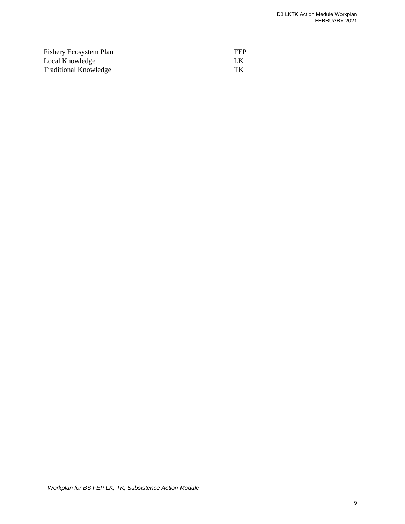| <b>Fishery Ecosystem Plan</b> | <b>FEP</b> |
|-------------------------------|------------|
| Local Knowledge               | - LK       |
| <b>Traditional Knowledge</b>  | TК         |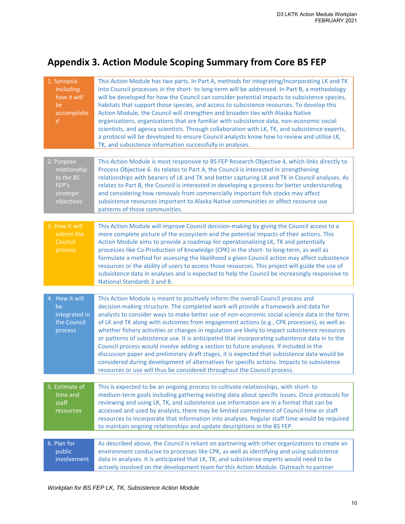# <span id="page-9-1"></span><span id="page-9-0"></span>**Appendix 3. Action Module Scoping Summary from Core BS FEP**

| 1. Synopsis<br><i>including</i><br>how it will<br>be<br>accomplishe<br>$\overline{d}$ | This Action Module has two parts. In Part A, methods for integrating/incorporating LK and TK<br>into Council processes in the short-to long-term will be addressed. In Part B, a methodology<br>will be developed for how the Council can consider potential impacts to subsistence species,<br>habitats that support those species, and access to subsistence resources. To develop this<br>Action Module, the Council will strengthen and broaden ties with Alaska Native<br>organizations, organizations that are familiar with subsistence data, non-economic social<br>scientists, and agency scientists. Through collaboration with LK, TK, and subsistence experts,<br>a protocol will be developed to ensure Council analysts know how to review and utilize LK,<br>TK, and subsistence information successfully in analyses.                                                                                                         |
|---------------------------------------------------------------------------------------|-----------------------------------------------------------------------------------------------------------------------------------------------------------------------------------------------------------------------------------------------------------------------------------------------------------------------------------------------------------------------------------------------------------------------------------------------------------------------------------------------------------------------------------------------------------------------------------------------------------------------------------------------------------------------------------------------------------------------------------------------------------------------------------------------------------------------------------------------------------------------------------------------------------------------------------------------|
| 2. Purpose<br>relationship<br>to the BS<br>FEP's<br>strategic<br>objectives           | This Action Module is most responsive to BS FEP Research Objective 4, which links directly to<br>Process Objective 6. As relates to Part A, the Council is interested in strengthening<br>relationships with bearers of LK and TK and better capturing LK and TK in Council analyses. As<br>relates to Part B, the Council is interested in developing a process for better understanding<br>and considering how removals from commercially important fish stocks may affect<br>subsistence resources important to Alaska Native communities or affect resource use<br>patterns of those communities.                                                                                                                                                                                                                                                                                                                                         |
| 3. How it will<br>inform the<br>Council<br>process                                    | This Action Module will improve Council decision-making by giving the Council access to a<br>more complete picture of the ecosystem and the potential impacts of their actions. This<br>Action Module aims to provide a roadmap for operationalizing LK, TK and potentially<br>processes like Co-Production of Knowledge (CPK) in the short- to long-term, as well as<br>formulate a method for assessing the likelihood a given Council action may affect subsistence<br>resources or the ability of users to access those resources. This project will guide the use of<br>subsistence data in analyses and is expected to help the Council be increasingly responsive to<br>National Standards 2 and 8.                                                                                                                                                                                                                                    |
| 4. How it will<br>be<br>integrated in<br>the Council<br>process                       | This Action Module is meant to positively inform the overall Council process and<br>decision-making structure. The completed work will provide a framework and data for<br>analysts to consider ways to make better use of non-economic social science data in the form<br>of LK and TK along with outcomes from engagement actions (e.g., CPK processes), as well as<br>whether fishery activities or changes in regulation are likely to impact subsistence resources<br>or patterns of subsistence use. It is anticipated that incorporating subsistence data in to the<br>Council process would involve adding a section to future analyses. If included in the<br>discussion paper and preliminary draft stages, it is expected that subsistence data would be<br>considered during development of alternatives for specific actions. Impacts to subsistence<br>resources or use will thus be considered throughout the Council process. |
| 5. Estimate of<br>time and<br>staff<br>resources                                      | This is expected to be an ongoing process to cultivate relationships, with short-to<br>medium-term goals including gathering existing data about specific issues. Once protocols for<br>reviewing and using LK, TK, and subsistence use information are in a format that can be<br>accessed and used by analysts, there may be limited commitment of Council time or staff<br>resources to incorporate that information into analyses. Regular staff time would be required<br>to maintain ongoing relationships and update descriptions in the BS FEP.                                                                                                                                                                                                                                                                                                                                                                                       |
| 6. Plan for<br>public<br>involvement                                                  | As described above, the Council is reliant on partnering with other organizations to create an<br>environment conducive to processes like CPK, as well as identifying and using subsistence<br>data in analyses. It is anticipated that LK, TK, and subsistence experts would need to be<br>actively involved on the development team for this Action Module. Outreach to partner                                                                                                                                                                                                                                                                                                                                                                                                                                                                                                                                                             |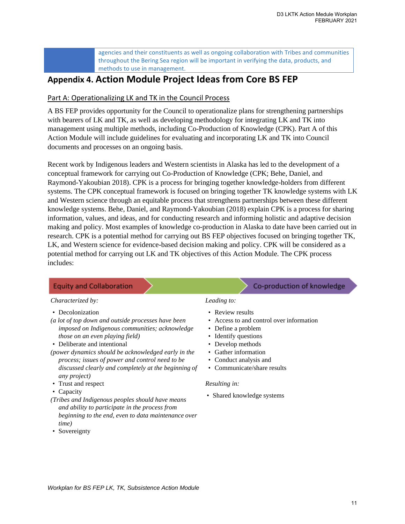agencies and their constituents as well as ongoing collaboration with Tribes and communities throughout the Bering Sea region will be important in verifying the data, products, and methods to use in management.

# **Appendix 4. Action Module Project Ideas from Core BS FEP**

### <span id="page-10-0"></span>Part A: Operationalizing LK and TK in the Council Process

A BS FEP provides opportunity for the Council to operationalize plans for strengthening partnerships with bearers of LK and TK, as well as developing methodology for integrating LK and TK into management using multiple methods, including Co-Production of Knowledge (CPK). Part A of this Action Module will include guidelines for evaluating and incorporating LK and TK into Council documents and processes on an ongoing basis.

Recent work by Indigenous leaders and Western scientists in Alaska has led to the development of a conceptual framework for carrying out Co-Production of Knowledge (CPK; Behe, Daniel, and Raymond-Yakoubian 2018). CPK is a process for bringing together knowledge-holders from different systems. The CPK conceptual framework is focused on bringing together TK knowledge systems with LK and Western science through an equitable process that strengthens partnerships between these different knowledge systems. Behe, Daniel, and Raymond-Yakoubian (2018) explain CPK is a process for sharing information, values, and ideas, and for conducting research and informing holistic and adaptive decision making and policy. Most examples of knowledge co-production in Alaska to date have been carried out in research. CPK is a potential method for carrying out BS FEP objectives focused on bringing together TK, LK, and Western science for evidence-based decision making and policy. CPK will be considered as a potential method for carrying out LK and TK objectives of this Action Module. The CPK process includes:

# **Equity and Collaboration**

#### *Characterized by:*

- Decolonization
- *(a lot of top down and outside processes have been imposed on Indigenous communities; acknowledge those on an even playing field)*
- Deliberate and intentional
- *(power dynamics should be acknowledged early in the process; issues of power and control need to be discussed clearly and completely at the beginning of any project)*
- Trust and respect
- Capacity
- *(Tribes and Indigenous peoples should have means and ability to participate in the process from beginning to the end, even to data maintenance over time)*
- Sovereignty

# Co-production of knowledge

# • Review results

*Leading to:*

- Access to and control over information
- Define a problem
- Identify questions
- Develop methods
- Gather information
- Conduct analysis and
- Communicate/share results

#### *Resulting in:*

• Shared knowledge systems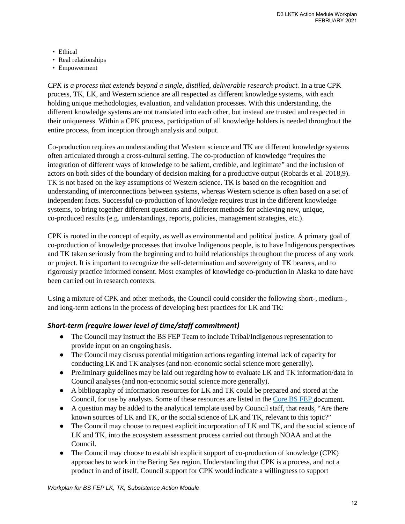- Ethical
- Real relationships
- Empowerment

*CPK is a process that extends beyond a single, distilled, deliverable research product.* In a true CPK process, TK, LK, and Western science are all respected as different knowledge systems, with each holding unique methodologies, evaluation, and validation processes. With this understanding, the different knowledge systems are not translated into each other, but instead are trusted and respected in their uniqueness. Within a CPK process, participation of all knowledge holders is needed throughout the entire process, from inception through analysis and output.

Co-production requires an understanding that Western science and TK are different knowledge systems often articulated through a cross-cultural setting. The co-production of knowledge "requires the integration of different ways of knowledge to be salient, credible, and legitimate" and the inclusion of actors on both sides of the boundary of decision making for a productive output (Robards et al. 2018,9). TK is not based on the key assumptions of Western science. TK is based on the recognition and understanding of interconnections between systems, whereas Western science is often based on a set of independent facts. Successful co-production of knowledge requires trust in the different knowledge systems, to bring together different questions and different methods for achieving new, unique, co-produced results (e.g. understandings, reports, policies, management strategies, etc.).

CPK is rooted in the concept of equity, as well as environmental and political justice. A primary goal of co-production of knowledge processes that involve Indigenous people, is to have Indigenous perspectives and TK taken seriously from the beginning and to build relationships throughout the process of any work or project. It is important to recognize the self-determination and sovereignty of TK bearers, and to rigorously practice informed consent. Most examples of knowledge co-production in Alaska to date have been carried out in research contexts.

Using a mixture of CPK and other methods, the Council could consider the following short-, medium-, and long-term actions in the process of developing best practices for LK and TK:

#### *Short-term (require lower level of time/staff commitment)*

- The Council may instruct the BS FEP Team to include Tribal/Indigenous representation to provide input on an ongoing basis.
- The Council may discuss potential mitigation actions regarding internal lack of capacity for conducting LK and TK analyses (and non-economic social science more generally).
- Preliminary guidelines may be laid out regarding how to evaluate LK and TK information/data in Council analyses (and non-economic social science more generally).
- A bibliography of information resources for LK and TK could be prepared and stored at the Council, for use by analysts. Some of these resources are listed in the [Core](http://meetings.npfmc.org/CommentReview/DownloadFile?p=9fd5d027-86a8-4983-a7e7-f456acc478bf.pdf&fileName=C4%20BS%20FEP.pdf) BS FEP document.
- A question may be added to the analytical template used by Council staff, that reads, "Are there known sources of LK and TK, or the social science of LK and TK, relevant to this topic?"
- The Council may choose to request explicit incorporation of LK and TK, and the social science of LK and TK, into the ecosystem assessment process carried out through NOAA and at the Council.
- The Council may choose to establish explicit support of co-production of knowledge (CPK) approaches to work in the Bering Sea region. Understanding that CPK is a process, and not a product in and of itself, Council support for CPK would indicate a willingness to support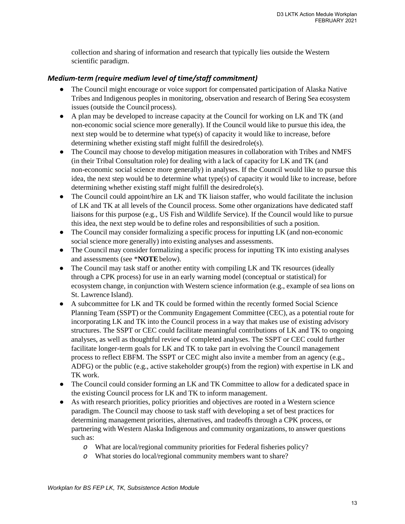collection and sharing of information and research that typically lies outside the Western scientific paradigm.

## *Medium-term (require medium level of time/staff commitment)*

- The Council might encourage or voice support for compensated participation of Alaska Native Tribes and Indigenous peoples in monitoring, observation and research of Bering Sea ecosystem issues (outside the Council process).
- A plan may be developed to increase capacity at the Council for working on LK and TK (and non-economic social science more generally). If the Council would like to pursue this idea, the next step would be to determine what type(s) of capacity it would like to increase, before determining whether existing staff might fulfill the desiredrole(s).
- The Council may choose to develop mitigation measures in collaboration with Tribes and NMFS (in their Tribal Consultation role) for dealing with a lack of capacity for LK and TK (and non-economic social science more generally) in analyses. If the Council would like to pursue this idea, the next step would be to determine what type(s) of capacity it would like to increase, before determining whether existing staff might fulfill the desiredrole(s).
- The Council could appoint/hire an LK and TK liaison staffer, who would facilitate the inclusion of LK and TK at all levels of the Council process. Some other organizations have dedicated staff liaisons for this purpose (e.g., US Fish and Wildlife Service). If the Council would like to pursue this idea, the next step would be to define roles and responsibilities of such a position.
- *●* The Council may consider formalizing a specific process for inputting LK (and non-economic social science more generally) into existing analyses and assessments.
- The Council may consider formalizing a specific process for inputting TK into existing analyses and assessments (see \***NOTE**below).
- The Council may task staff or another entity with compiling LK and TK resources (ideally through a CPK process) for use in an early warning model (conceptual or statistical) for ecosystem change, in conjunction with Western science information (e.g., example of sea lions on St. Lawrence Island).
- A subcommittee for LK and TK could be formed within the recently formed Social Science Planning Team (SSPT) or the Community Engagement Committee (CEC), as a potential route for incorporating LK and TK into the Council process in a way that makes use of existing advisory structures. The SSPT or CEC could facilitate meaningful contributions of LK and TK to ongoing analyses, as well as thoughtful review of completed analyses. The SSPT or CEC could further facilitate longer-term goals for LK and TK to take part in evolving the Council management process to reflect EBFM. The SSPT or CEC might also invite a member from an agency (e.g., ADFG) or the public (e.g., active stakeholder group(s) from the region) with expertise in LK and TK work.
- The Council could consider forming an LK and TK Committee to allow for a dedicated space in the existing Council process for LK and TK to inform management.
- As with research priorities, policy priorities and objectives are rooted in a Western science paradigm. The Council may choose to task staff with developing a set of best practices for determining management priorities, alternatives, and tradeoffs through a CPK process, or partnering with Western Alaska Indigenous and community organizations, to answer questions such as:
	- *o* What are local/regional community priorities for Federal fisheries policy?
	- *o* What stories do local/regional community members want to share?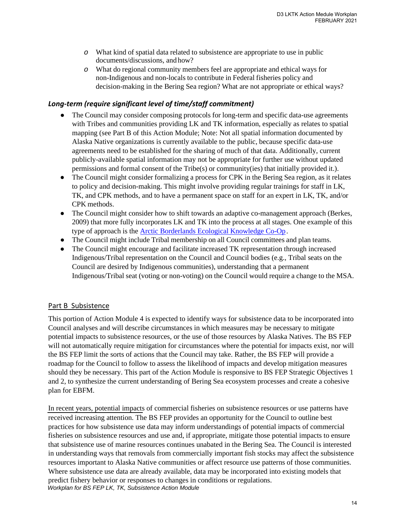- *o* What kind of spatial data related to subsistence are appropriate to use in public documents/discussions, and how?
- *o* What do regional community members feel are appropriate and ethical ways for non-Indigenous and non-locals to contribute in Federal fisheries policy and decision-making in the Bering Sea region? What are not appropriate or ethical ways?

#### *Long-term (require significant level of time/staff commitment)*

- *●* The Council may consider composing protocols for long-term and specific data-use agreements with Tribes and communities providing LK and TK information, especially as relates to spatial mapping (see Part B of this Action Module; Note: Not all spatial information documented by Alaska Native organizations is currently available to the public, because specific data-use agreements need to be established for the sharing of much of that data. Additionally, current publicly-available spatial information may not be appropriate for further use without updated permissions and formal consent of the Tribe(s) or community(ies) that initially provided it.).
- The Council might consider formalizing a process for CPK in the Bering Sea region, as it relates to policy and decision-making. This might involve providing regular trainings for staff in LK, TK, and CPK methods, and to have a permanent space on staff for an expert in LK, TK, and/or CPK methods.
- The Council might consider how to shift towards an adaptive co-management approach (Berkes, 2009) that more fully incorporates LK and TK into the process at all stages. One example of this type of approach is the [Arctic Borderlands Ecological Knowledge Co-Op .](https://glosbe.com/en/fr/Arctic%20Borderlands%20Ecological%20Knowledge%20Co-op;)
- *●* The Council might include Tribal membership on all Council committees and plan teams.
- The Council might encourage and facilitate increased TK representation through increased Indigenous/Tribal representation on the Council and Council bodies (e.g., Tribal seats on the Council are desired by Indigenous communities), understanding that a permanent Indigenous/Tribal seat (voting or non-voting) on the Council would require a change to the MSA.

#### <span id="page-13-0"></span>Part B Subsistence

This portion of Action Module 4 is expected to identify ways for subsistence data to be incorporated into Council analyses and will describe circumstances in which measures may be necessary to mitigate potential impacts to subsistence resources, or the use of those resources by Alaska Natives. The BS FEP will not automatically require mitigation for circumstances where the potential for impacts exist, nor will the BS FEP limit the sorts of actions that the Council may take. Rather, the BS FEP will provide a roadmap for the Council to follow to assess the likelihood of impacts and develop mitigation measures should they be necessary. This part of the Action Module is responsive to BS FEP Strategic Objectives 1 and 2, to synthesize the current understanding of Bering Sea ecosystem processes and create a cohesive plan for EBFM.

*Workplan for BS FEP LK, TK, Subsistence Action Module* In recent years, potential impacts of commercial fisheries on subsistence resources or use patterns have received increasing attention. The BS FEP provides an opportunity for the Council to outline best practices for how subsistence use data may inform understandings of potential impacts of commercial fisheries on subsistence resources and use and, if appropriate, mitigate those potential impacts to ensure that subsistence use of marine resources continues unabated in the Bering Sea. The Council is interested in understanding ways that removals from commercially important fish stocks may affect the subsistence resources important to Alaska Native communities or affect resource use patterns of those communities. Where subsistence use data are already available, data may be incorporated into existing models that predict fishery behavior or responses to changes in conditions or regulations.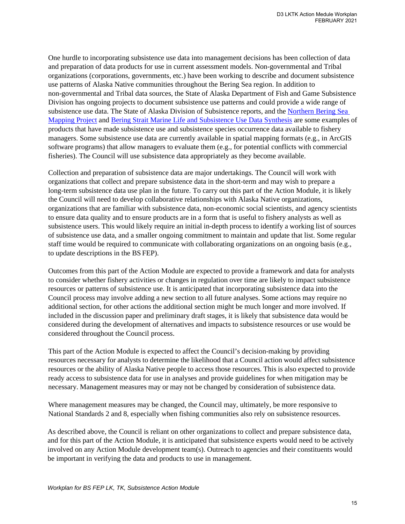One hurdle to incorporating subsistence use data into management decisions has been collection of data and preparation of data products for use in current assessment models. Non-governmental and Tribal organizations (corporations, governments, etc.) have been working to describe and document subsistence use patterns of Alaska Native communities throughout the Bering Sea region. In addition to non-governmental and Tribal data sources, the State of Alaska Department of Fish and Game Subsistence Division has ongoing projects to document subsistence use patterns and could provide a wide range of subsistence use data. The State of Alaska Division of Subsistence reports, and the [Northern Bering Sea](http://www.akmarine.org/fisheries-conservation/protect-habitat/northern-bering-sea-initiative/)  [Mapping Project](http://www.akmarine.org/fisheries-conservation/protect-habitat/northern-bering-sea-initiative/) and [Bering Strait Marine Life and Subsistence Use Data Synthesis](http://oceana.org/publications/reports/the-bering-strait-marine-life-and-subsistence-data-synthesis) are some examples of products that have made subsistence use and subsistence species occurrence data available to fishery managers. Some subsistence use data are currently available in spatial mapping formats (e.g., in ArcGIS software programs) that allow managers to evaluate them (e.g., for potential conflicts with commercial fisheries). The Council will use subsistence data appropriately as they become available.

Collection and preparation of subsistence data are major undertakings. The Council will work with organizations that collect and prepare subsistence data in the short-term and may wish to prepare a long-term subsistence data use plan in the future. To carry out this part of the Action Module, it is likely the Council will need to develop collaborative relationships with Alaska Native organizations, organizations that are familiar with subsistence data, non-economic social scientists, and agency scientists to ensure data quality and to ensure products are in a form that is useful to fishery analysts as well as subsistence users. This would likely require an initial in-depth process to identify a working list of sources of subsistence use data, and a smaller ongoing commitment to maintain and update that list. Some regular staff time would be required to communicate with collaborating organizations on an ongoing basis (e.g., to update descriptions in the BS FEP).

Outcomes from this part of the Action Module are expected to provide a framework and data for analysts to consider whether fishery activities or changes in regulation over time are likely to impact subsistence resources or patterns of subsistence use. It is anticipated that incorporating subsistence data into the Council process may involve adding a new section to all future analyses. Some actions may require no additional section, for other actions the additional section might be much longer and more involved. If included in the discussion paper and preliminary draft stages, it is likely that subsistence data would be considered during the development of alternatives and impacts to subsistence resources or use would be considered throughout the Council process.

This part of the Action Module is expected to affect the Council's decision-making by providing resources necessary for analysts to determine the likelihood that a Council action would affect subsistence resources or the ability of Alaska Native people to access those resources. This is also expected to provide ready access to subsistence data for use in analyses and provide guidelines for when mitigation may be necessary. Management measures may or may not be changed by consideration of subsistence data.

Where management measures may be changed, the Council may, ultimately, be more responsive to National Standards 2 and 8, especially when fishing communities also rely on subsistence resources.

As described above, the Council is reliant on other organizations to collect and prepare subsistence data, and for this part of the Action Module, it is anticipated that subsistence experts would need to be actively involved on any Action Module development team(s). Outreach to agencies and their constituents would be important in verifying the data and products to use in management.